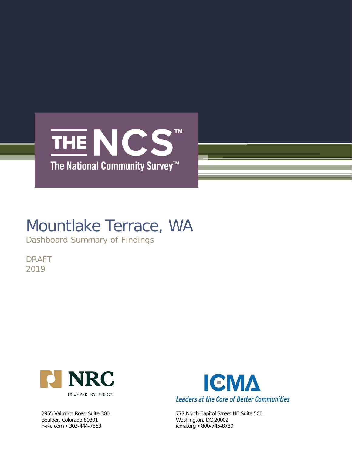

## Mountlake Terrace, WA

Dashboard Summary of Findings

DRAFT 2019



Boulder, Colorado 80301 Washington, DC 20002 n-r-c.com • 303-444-7863 icma.org • 800-745-8780



2955 Valmont Road Suite 300 777 North Capitol Street NE Suite 500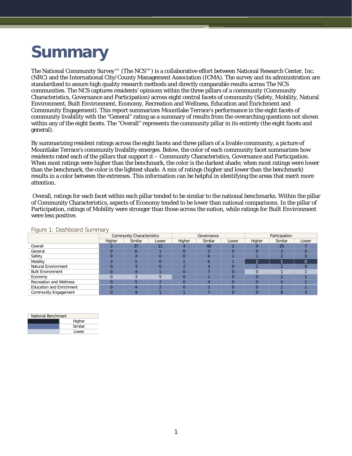# **Summary**

The National Community Survey™ (The NCS™) is a collaborative effort between National Research Center, Inc. (NRC) and the International City/County Management Association (ICMA). The survey and its administration are standardized to assure high quality research methods and directly comparable results across The NCS communities. The NCS captures residents' opinions within the three pillars of a community (Community Characteristics, Governance and Participation) across eight central facets of community (Safety, Mobility, Natural Environment, Built Environment, Economy, Recreation and Wellness, Education and Enrichment and Community Engagement). This report summarizes Mountlake Terrace's performance in the eight facets of community livability with the "General" rating as a summary of results from the overarching questions not shown within any of the eight facets. The "Overall" represents the community pillar in its entirety (the eight facets and general).

By summarizing resident ratings across the eight facets and three pillars of a livable community, a picture of Mountlake Terrace's community livability emerges. Below, the color of each community facet summarizes how residents rated each of the pillars that support it – Community Characteristics, Governance and Participation. When most ratings were higher than the benchmark, the color is the darkest shade; when most ratings were lower than the benchmark, the color is the lightest shade. A mix of ratings (higher and lower than the benchmark) results in a color between the extremes. This information can be helpful in identifying the areas that merit more attention.

Overall, ratings for each facet within each pillar tended to be similar to the national benchmarks. Within the pillar of Community Characteristics, aspects of Economy tended to be lower than national comparisons. In the pillar of Participation, ratings of Mobility were stronger than those across the nation, while ratings for Built Environment were less positive.

|                                 |        | <b>Community Characteristics</b> |          |          | Governance |       | Participation |         |          |  |
|---------------------------------|--------|----------------------------------|----------|----------|------------|-------|---------------|---------|----------|--|
|                                 | Higher | Similar                          | Lower    | Higher   | Similar    | Lower | Higher        | Similar | Lower    |  |
| Overall                         |        | 37                               | 12       |          | 40         |       |               | 25      |          |  |
| General                         |        | n                                |          | 0        |            |       | 0             |         |          |  |
| Safety                          |        |                                  | $\Omega$ | 0        | h          |       |               |         |          |  |
| Mobility                        |        |                                  | $\Omega$ |          |            |       | ۰n.           |         | $\Omega$ |  |
| <b>Natural Environment</b>      |        |                                  | $\Omega$ |          |            |       |               |         |          |  |
| <b>Built Environment</b>        |        |                                  |          |          |            |       |               |         |          |  |
| Economy                         |        |                                  |          |          |            |       |               |         |          |  |
| <b>Recreation and Wellness</b>  |        |                                  |          |          |            |       |               |         |          |  |
| <b>Education and Enrichment</b> |        |                                  | າ        | $\Omega$ |            |       | $\Omega$      |         |          |  |
| Community Engagement            |        |                                  |          |          |            |       |               | 8       |          |  |

Figure 1: Dashboard Summary

| National Benchmark |         |  |  |  |  |  |
|--------------------|---------|--|--|--|--|--|
|                    | Higher  |  |  |  |  |  |
|                    | Similar |  |  |  |  |  |
|                    | Lower   |  |  |  |  |  |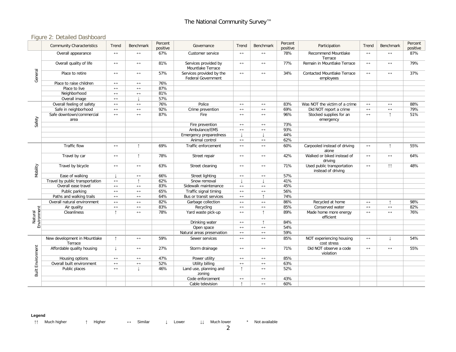## Figure 2: Detailed Dashboard

|                          | <b>Community Characteristics</b>        | Trend                 | Benchmark             | Percent<br>positive | Governance                                            | Trend                 | Benchmark             | Percent<br>positive | Participation                                    | Trend                 | Benchmark             | Percent<br>positive |
|--------------------------|-----------------------------------------|-----------------------|-----------------------|---------------------|-------------------------------------------------------|-----------------------|-----------------------|---------------------|--------------------------------------------------|-----------------------|-----------------------|---------------------|
|                          | Overall appearance                      | $\leftrightarrow$     | $\leftrightarrow$     | 67%                 | Customer service                                      | $\leftrightarrow$     | $\leftrightarrow$     | 78%                 | Recommend Mountlake<br>Terrace                   | $\leftrightarrow$     | $\leftrightarrow$     | 87%                 |
|                          | Overall quality of life                 | $\longleftrightarrow$ | $\leftrightarrow$     | 81%                 | Services provided by<br>Mountlake Terrace             | $\longleftrightarrow$ | $\longleftrightarrow$ | 77%                 | Remain in Mountlake Terrace                      | $\leftrightarrow$     | $\longleftrightarrow$ | 79%                 |
| General                  | Place to retire                         | $\longleftrightarrow$ | $\leftrightarrow$     | 57%                 | Services provided by the<br><b>Federal Government</b> | $\leftrightarrow$     | $\longleftrightarrow$ | 34%                 | Contacted Mountlake Terrace<br>employees         | $\leftrightarrow$     | $\longleftrightarrow$ | 37%                 |
|                          | Place to raise children                 | $\leftrightarrow$     | $\leftrightarrow$     | 76%                 |                                                       |                       |                       |                     |                                                  |                       |                       |                     |
|                          | Place to live                           | $\leftrightarrow$     | $\leftrightarrow$     | 87%                 |                                                       |                       |                       |                     |                                                  |                       |                       |                     |
|                          | Neighborhood                            | $\leftrightarrow$     | $\leftrightarrow$     | 81%                 |                                                       |                       |                       |                     |                                                  |                       |                       |                     |
|                          | Overall image                           | $\leftrightarrow$     |                       | 57%                 |                                                       |                       |                       |                     |                                                  |                       |                       |                     |
|                          | Overall feeling of safety               | $\leftrightarrow$     | $\leftrightarrow$     | 76%                 | Police                                                | $\longleftrightarrow$ | $\leftrightarrow$     | 83%                 | Was NOT the victim of a crime                    | $\leftrightarrow$     | $\longleftrightarrow$ | 88%                 |
|                          | Safe in neighborhood                    | $\leftrightarrow$     | $\leftrightarrow$     | 92%                 | Crime prevention                                      | $\leftrightarrow$     | $\leftrightarrow$     | 69%                 | Did NOT report a crime                           | $\leftrightarrow$     | $\longleftrightarrow$ | 79%                 |
| Safety                   | Safe downtown/commercial<br>area        | $\leftrightarrow$     | $\leftrightarrow$     | 87%                 | Fire                                                  | $\leftrightarrow$     | $\leftrightarrow$     | 96%                 | Stocked supplies for an<br>emergency             | $\leftrightarrow$     | ↑                     | 51%                 |
|                          |                                         |                       |                       |                     | Fire prevention                                       | $\longleftrightarrow$ | $\leftrightarrow$     | 73%                 |                                                  |                       |                       |                     |
|                          |                                         |                       |                       |                     | Ambulance/EMS                                         | $\leftrightarrow$     | $\leftrightarrow$     | 93%                 |                                                  |                       |                       |                     |
|                          |                                         |                       |                       |                     | Emergency preparedness                                |                       |                       | 44%                 |                                                  |                       |                       |                     |
|                          |                                         |                       |                       |                     | Animal control                                        | $\leftrightarrow$     | $\leftrightarrow$     | 62%                 |                                                  |                       |                       |                     |
|                          | Traffic flow                            | $\leftrightarrow$     | $\uparrow$            | 69%                 | Traffic enforcement                                   | $\leftrightarrow$     | $\leftrightarrow$     | 60%                 | Carpooled instead of driving<br>alone            | $\leftrightarrow$     | $\uparrow$            | 55%                 |
|                          | Travel by car                           | $\longleftrightarrow$ | $\uparrow$            | 78%                 | Street repair                                         | $\longleftrightarrow$ | $\leftrightarrow$     | 42%                 | Walked or biked instead of<br>driving            | $\leftrightarrow$     | $\leftrightarrow$     | 64%                 |
| Mobility                 | Travel by bicycle                       | $\longleftrightarrow$ | $\leftrightarrow$     | 63%                 | Street cleaning                                       | $\longleftrightarrow$ | $\leftrightarrow$     | 71%                 | Used public transportation<br>instead of driving | $\leftrightarrow$     | $\uparrow \uparrow$   | 48%                 |
|                          | Ease of walking                         |                       | $\longleftrightarrow$ | 66%                 | Street lighting                                       | $\longleftrightarrow$ | $\leftrightarrow$     | 57%                 |                                                  |                       |                       |                     |
|                          | Travel by public transportation         | $\leftrightarrow$     | $\overline{1}$        | 62%                 | Snow removal                                          |                       |                       | 41%                 |                                                  |                       |                       |                     |
|                          | Overall ease travel                     | $\leftrightarrow$     | $\leftrightarrow$     | 83%                 | Sidewalk maintenance                                  | $\leftrightarrow$     | $\leftrightarrow$     | 45%                 |                                                  |                       |                       |                     |
|                          | Public parking                          | $\leftrightarrow$     | $\leftrightarrow$     | 65%                 | Traffic signal timing                                 | $\leftrightarrow$     | $\leftrightarrow$     | 56%                 |                                                  |                       |                       |                     |
|                          | Paths and walking trails                | $\leftrightarrow$     | $\leftrightarrow$     | 64%                 | Bus or transit services                               | $\longleftrightarrow$ | $\uparrow$            | 74%                 |                                                  |                       |                       |                     |
|                          | Overall natural environment             | $\longleftrightarrow$ | $\leftrightarrow$     | 82%                 | Garbage collection                                    | $\leftrightarrow$     | $\leftrightarrow$     | 86%                 | Recycled at home                                 | $\leftrightarrow$     | $\uparrow$            | 98%                 |
|                          | Air quality                             | $\leftrightarrow$     | $\leftrightarrow$     | 83%                 | Recycling                                             | $\leftrightarrow$     | $\leftrightarrow$     | 85%                 | Conserved water                                  | $\longleftrightarrow$ | $\longleftrightarrow$ | 82%                 |
| Environment<br>Natural   | Cleanliness                             | $\uparrow$            | $\leftrightarrow$     | 78%                 | Yard waste pick-up                                    | $\leftrightarrow$     | $\uparrow$            | 89%                 | Made home more energy<br>efficient               | $\leftrightarrow$     | $\leftrightarrow$     | 76%                 |
|                          |                                         |                       |                       |                     | Drinking water                                        | $\longleftrightarrow$ | $\uparrow$            | 84%                 |                                                  |                       |                       |                     |
|                          |                                         |                       |                       |                     | Open space                                            | $\leftrightarrow$     | $\leftrightarrow$     | 54%                 |                                                  |                       |                       |                     |
|                          |                                         |                       |                       |                     | Natural areas preservation                            | $\longleftrightarrow$ | $\leftrightarrow$     | 59%                 |                                                  |                       |                       |                     |
|                          | New development in Mountlake<br>Terrace | $\uparrow$            | $\leftrightarrow$     | 59%                 | Sewer services                                        | $\leftrightarrow$     | $\leftrightarrow$     | 85%                 | NOT experiencing housing<br>cost stress          | $\leftrightarrow$     | J.                    | 54%                 |
| <b>Built Environment</b> | Affordable quality housing              | T                     | $\leftrightarrow$     | 27%                 | Storm drainage                                        | $\leftrightarrow$     | $\leftrightarrow$     | 71%                 | Did NOT observe a code<br>violation              | $\leftrightarrow$     | $\leftrightarrow$     | 55%                 |
|                          | Housing options                         | $\leftrightarrow$     | $\longleftrightarrow$ | 47%                 | Power utility                                         | $\longleftrightarrow$ | $\longleftrightarrow$ | 85%                 |                                                  |                       |                       |                     |
|                          | Overall built environment               | $\leftrightarrow$     | $\leftrightarrow$     | 52%                 | Utility billing                                       | $\leftrightarrow$     | $\leftrightarrow$     | 63%                 |                                                  |                       |                       |                     |
|                          | Public places                           | $\leftrightarrow$     | $\perp$               | 46%                 | Land use, planning and<br>zoning                      | $\uparrow$            | $\leftrightarrow$     | 52%                 |                                                  |                       |                       |                     |
|                          |                                         |                       |                       |                     | Code enforcement                                      | $\longleftrightarrow$ | $\leftrightarrow$     | 43%                 |                                                  |                       |                       |                     |
|                          |                                         |                       |                       |                     | Cable television                                      | $\uparrow$            | $\leftrightarrow$     | 60%                 |                                                  |                       |                       |                     |

#### **Legend**

↑↑ Much higher ↑ Higher ↔ Similar ↓ Lower ↓↓ Much lower \* Not available

2